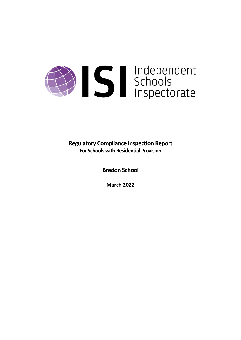# Schools<br>Schools<br>Inspectorate

**Regulatory Compliance Inspection Report For Schools with Residential Provision**

**Bredon School**

**March 2022**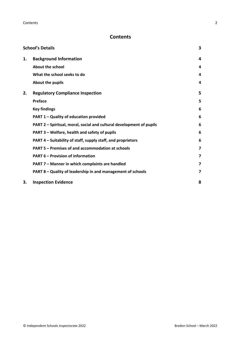## **Contents**

|    | <b>School's Details</b>                                              | 3 |
|----|----------------------------------------------------------------------|---|
| 1. | <b>Background Information</b>                                        | 4 |
|    | About the school                                                     | 4 |
|    | What the school seeks to do                                          | 4 |
|    | About the pupils                                                     | 4 |
| 2. | <b>Regulatory Compliance Inspection</b>                              | 5 |
|    | <b>Preface</b>                                                       | 5 |
|    | <b>Key findings</b>                                                  | 6 |
|    | PART 1 - Quality of education provided                               | 6 |
|    | PART 2 - Spiritual, moral, social and cultural development of pupils | 6 |
|    | PART 3 - Welfare, health and safety of pupils                        | 6 |
|    | PART 4 – Suitability of staff, supply staff, and proprietors         | 6 |
|    | PART 5 - Premises of and accommodation at schools                    | 7 |
|    | <b>PART 6 - Provision of information</b>                             | 7 |
|    | PART 7 - Manner in which complaints are handled                      | 7 |
|    | PART 8 - Quality of leadership in and management of schools          | 7 |
| 3. | <b>Inspection Evidence</b>                                           | 8 |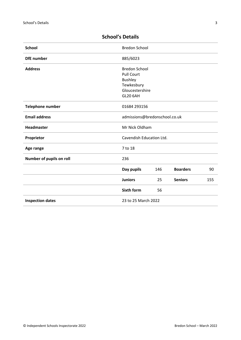| <b>School</b>            | <b>Bredon School</b>          |     |                 |     |
|--------------------------|-------------------------------|-----|-----------------|-----|
| <b>DfE</b> number        | 885/6023                      |     |                 |     |
| <b>Address</b>           | <b>Bredon School</b>          |     |                 |     |
|                          | <b>Pull Court</b>             |     |                 |     |
|                          | <b>Bushley</b>                |     |                 |     |
|                          | Tewkesbury                    |     |                 |     |
|                          | Gloucestershire               |     |                 |     |
|                          | <b>GL20 6AH</b>               |     |                 |     |
| <b>Telephone number</b>  | 01684 293156                  |     |                 |     |
| <b>Email address</b>     | admissions@bredonschool.co.uk |     |                 |     |
| <b>Headmaster</b>        | Mr Nick Oldham                |     |                 |     |
| Proprietor               | Cavendish Education Ltd.      |     |                 |     |
| Age range                | 7 to 18                       |     |                 |     |
| Number of pupils on roll | 236                           |     |                 |     |
|                          | Day pupils                    | 146 | <b>Boarders</b> | 90  |
|                          | <b>Juniors</b>                | 25  | <b>Seniors</b>  | 155 |
|                          | <b>Sixth form</b>             | 56  |                 |     |
| <b>Inspection dates</b>  | 23 to 25 March 2022           |     |                 |     |
|                          |                               |     |                 |     |

# <span id="page-2-0"></span>**School's Details**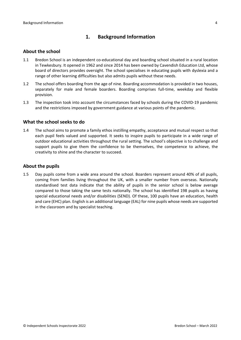## <span id="page-3-0"></span>**1. Background Information**

#### <span id="page-3-1"></span>**About the school**

- 1.1 Bredon School is an independent co-educational day and boarding school situated in a rural location in Tewkesbury. It opened in 1962 and since 2014 has been owned by Cavendish Education Ltd, whose board of directors provides oversight. The school specialises in educating pupils with dyslexia and a range of other learning difficulties but also admits pupils without these needs.
- 1.2 The school offers boarding from the age of nine. Boarding accommodation is provided in two houses, separately for male and female boarders. Boarding comprises full-time, weekday and flexible provision.
- 1.3 The inspection took into account the circumstances faced by schools during the COVID-19 pandemic and the restrictions imposed by government guidance at various points of the pandemic.

#### <span id="page-3-2"></span>**What the school seeks to do**

1.4 The school aims to promote a family ethos instilling empathy, acceptance and mutual respect so that each pupil feels valued and supported. It seeks to inspire pupils to participate in a wide range of outdoor educational activities throughout the rural setting. The school's objective is to challenge and support pupils to give them the confidence to be themselves, the competence to achieve, the creativity to shine and the character to succeed.

#### <span id="page-3-3"></span>**About the pupils**

1.5 Day pupils come from a wide area around the school. Boarders represent around 40% of all pupils, coming from families living throughout the UK, with a smaller number from overseas. Nationally standardised test data indicate that the ability of pupils in the senior school is below average compared to those taking the same tests nationally. The school has identified 198 pupils as having special educational needs and/or disabilities (SEND). Of these, 100 pupils have an education, health and care (EHC) plan. English is an additional language (EAL) for nine pupils whose needs are supported in the classroom and by specialist teaching.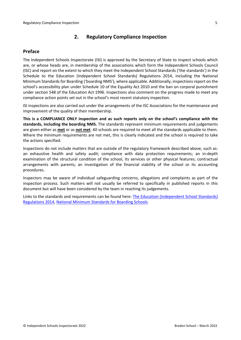## <span id="page-4-0"></span>**2. Regulatory Compliance Inspection**

#### <span id="page-4-1"></span>**Preface**

The Independent Schools Inspectorate (ISI) is approved by the Secretary of State to inspect schools which are, or whose heads are, in membership of the associations which form the Independent Schools Council (ISC) and report on the extent to which they meet the Independent School Standards ('the standards') in the Schedule to the Education (Independent School Standards) Regulations 2014, including the National Minimum Standards for Boarding ('boarding NMS'), where applicable. Additionally, inspections report on the school's accessibility plan under Schedule 10 of the Equality Act 2010 and the ban on corporal punishment under section 548 of the Education Act 1996. Inspections also comment on the progress made to meet any compliance action points set out in the school's most recent statutory inspection.

ISI inspections are also carried out under the arrangements of the ISC Associations for the maintenance and improvement of the quality of their membership.

**This is a COMPLIANCE ONLY inspection and as such reports only on the school's compliance with the standards, including the boarding NMS.** The standards represent minimum requirements and judgements are given either as **met** or as **not met**. All schools are required to meet all the standards applicable to them. Where the minimum requirements are not met, this is clearly indicated and the school is required to take the actions specified.

Inspections do not include matters that are outside of the regulatory framework described above, such as: an exhaustive health and safety audit; compliance with data protection requirements; an in-depth examination of the structural condition of the school, its services or other physical features; contractual arrangements with parents; an investigation of the financial viability of the school or its accounting procedures.

Inspectors may be aware of individual safeguarding concerns, allegations and complaints as part of the inspection process. Such matters will not usually be referred to specifically in published reports in this document but will have been considered by the team in reaching its judgements.

Links to the standards and requirements can be found here: The Education [\(Independent](http://www.legislation.gov.uk/uksi/2014/3283/contents/made) School Standards) [Regulations](http://www.legislation.gov.uk/uksi/2014/3283/contents/made) 2014, National Minimum [Standards](https://www.gov.uk/government/uploads/system/uploads/attachment_data/file/416186/20150319_nms_bs_standards.pdf) for Boarding Schools.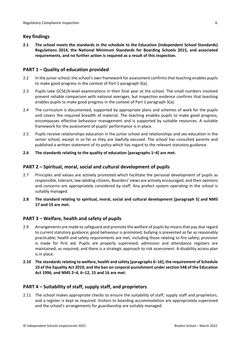## <span id="page-5-0"></span>**Key findings**

**2.1 The school meets the standards in the schedule to the Education (Independent School Standards) Regulations 2014, the National Minimum Standards for Boarding Schools 2015, and associated requirements, and no further action is required as a result of this inspection.**

## <span id="page-5-1"></span>**PART 1 – Quality of education provided**

- 2.2 In the junior school, the school's own framework for assessment confirms that teaching enables pupils to make good progress in the context of Part 1 paragraph 3(a).
- 2.3 Pupils take GCSE/A-level examinations in their final year at the school. The small numbers involved prevent reliable comparison with national averages, but inspection evidence confirms that teaching enables pupils to make good progress in the context of Part 1 paragraph 3(a).
- 2.4 The curriculum is documented, supported by appropriate plans and schemes of work for the pupils and covers the required breadth of material. The teaching enables pupils to make good progress, encompasses effective behaviour management and is supported by suitable resources. A suitable framework for the assessment of pupils' performance is in place.
- 2.5 Pupils receive relationships education in the junior school and relationships and sex education in the senior school, except in so far as they are lawfully excused. The school has consulted parents and published a written statement of its policy which has regard to the relevant statutory guidance.

#### **2.6 The standards relating to the quality of education [paragraphs 1–4] are met.**

#### <span id="page-5-2"></span>**PART 2 – Spiritual, moral, social and cultural development of pupils**

- 2.7 Principles and values are actively promoted which facilitate the personal development of pupils as responsible, tolerant, law-abiding citizens. Boarders' views are actively encouraged, and their opinions and concerns are appropriately considered by staff. Any prefect system operating in the school is suitably managed.
- **2.8 The standard relating to spiritual, moral, social and cultural development [paragraph 5] and NMS 17 and 19 are met.**

#### <span id="page-5-3"></span>**PART 3 – Welfare, health and safety of pupils**

- 2.9 Arrangements are made to safeguard and promote the welfare of pupils by meansthat pay due regard to current statutory guidance; good behaviour is promoted; bullying is prevented so far as reasonably practicable; health and safety requirements are met, including those relating to fire safety; provision is made for first aid. Pupils are properly supervised; admission and attendance registers are maintained, as required, and there is a strategic approach to risk assessment. A disability access plan is in place.
- **2.10 The standardsrelating to welfare, health and safety [paragraphs 6–16], the requirement of Schedule 10 of the Equality Act 2010, and the ban on corporal punishment undersection 548 of the Education Act 1996, and NMS 2–4, 6–12, 15 and 16 are met.**

#### <span id="page-5-4"></span>**PART 4 – Suitability of staff, supply staff, and proprietors**

2.11 The school makes appropriate checks to ensure the suitability of staff, supply staff and proprietors, and a register is kept as required. Visitors to boarding accommodation are appropriately supervised and the school's arrangements for guardianship are suitably managed.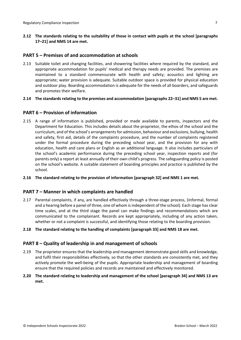**2.12 The standards relating to the suitability of those in contact with pupils at the school [paragraphs 17–21] and NMS 14 are met.**

## <span id="page-6-0"></span>**PART 5 – Premises of and accommodation at schools**

- 2.13 Suitable toilet and changing facilities, and showering facilities where required by the standard, and appropriate accommodation for pupils' medical and therapy needs are provided. The premises are maintained to a standard commensurate with health and safety; acoustics and lighting are appropriate; water provision is adequate. Suitable outdoor space is provided for physical education and outdoor play. Boarding accommodation is adequate for the needs of all boarders, and safeguards and promotes their welfare.
- **2.14 The standardsrelating to the premises and accommodation [paragraphs 22–31] and NMS 5 are met.**

## <span id="page-6-1"></span>**PART 6 – Provision of information**

- 2.15 A range of information is published, provided or made available to parents, inspectors and the Department for Education. This includes details about the proprietor, the ethos of the school and the curriculum, and of the school's arrangements for admission, behaviour and exclusions, bullying, health and safety, first aid, details of the complaints procedure, and the number of complaints registered under the formal procedure during the preceding school year, and the provision for any with education, health and care plans or English as an additional language. It also includes particulars of the school's academic performance during the preceding school year, inspection reports and (for parents only) a report at least annually of their own child's progress. The safeguarding policy is posted on the school's website. A suitable statement of boarding principles and practice is published by the school.
- **2.16 The standard relating to the provision of information [paragraph 32] and NMS 1 are met.**

#### <span id="page-6-2"></span>**PART 7 – Manner in which complaints are handled**

- 2.17 Parental complaints, if any, are handled effectively through a three-stage process, (informal, formal and a hearing before a panel of three, one of whom is independent of the school). Each stage has clear time scales, and at the third stage the panel can make findings and recommendations which are communicated to the complainant. Records are kept appropriately, including of any action taken, whether or not a complaint is successful, and identifying those relating to the boarding provision.
- **2.18 The standard relating to the handling of complaints [paragraph 33] and NMS 18 are met.**

## <span id="page-6-3"></span>**PART 8 – Quality of leadership in and management of schools**

- 2.19 The proprietor ensures that the leadership and management demonstrate good skills and knowledge, and fulfil their responsibilities effectively, so that the other standards are consistently met, and they actively promote the well-being of the pupils. Appropriate leadership and management of boarding ensure that the required policies and records are maintained and effectively monitored.
- **2.20 The standard relating to leadership and management of the school [paragraph 34] and NMS 13 are met.**